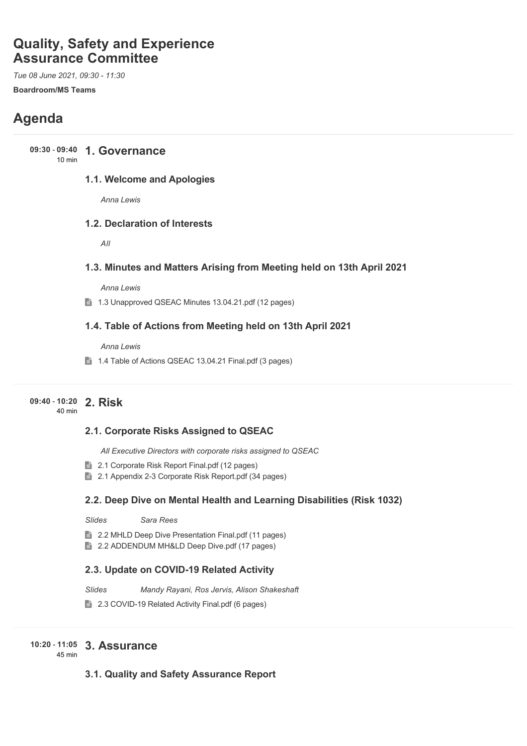# **Quality, Safety and Experience Assurance Committee**

*Tue 08 June 2021, 09:30 - 11:30* **Boardroom/MS Teams**

# **Agenda**

**1. Governance 09:30** - **09:40**

#### 10 min

#### **1.1. Welcome and Apologies**

*Anna Lewis*

#### **1.2. Declaration of Interests**

*All*

#### **1.3. Minutes and Matters Arising from Meeting held on 13th April 2021**

*Anna Lewis*

1.3 Unapproved QSEAC Minutes 13.04.21.pdf (12 pages)

#### **1.4. Table of Actions from Meeting held on 13th April 2021**

*Anna Lewis*

1.4 Table of Actions QSEAC 13.04.21 Final.pdf (3 pages)

## **2. Risk 09:40** - **10:20**

40 min

#### **2.1. Corporate Risks Assigned to QSEAC**

*All Executive Directors with corporate risks assigned to QSEAC*

- **2.1 Corporate Risk Report Final.pdf (12 pages)**
- **2.1 Appendix 2-3 Corporate Risk Report.pdf (34 pages)**

#### **2.2. Deep Dive on Mental Health and Learning Disabilities (Risk 1032)**

*Slides Sara Rees*

■ 2.2 MHLD Deep Dive Presentation Final.pdf (11 pages)

■ 2.2 ADDENDUM MH&LD Deep Dive.pdf (17 pages)

#### **2.3. Update on COVID-19 Related Activity**

*Slides Mandy Rayani, Ros Jervis, Alison Shakeshaft*

**■ 2.3 COVID-19 Related Activity Final.pdf (6 pages)** 

## **3. Assurance 10:20** - **11:05**

45 min

#### **3.1. Quality and Safety Assurance Report**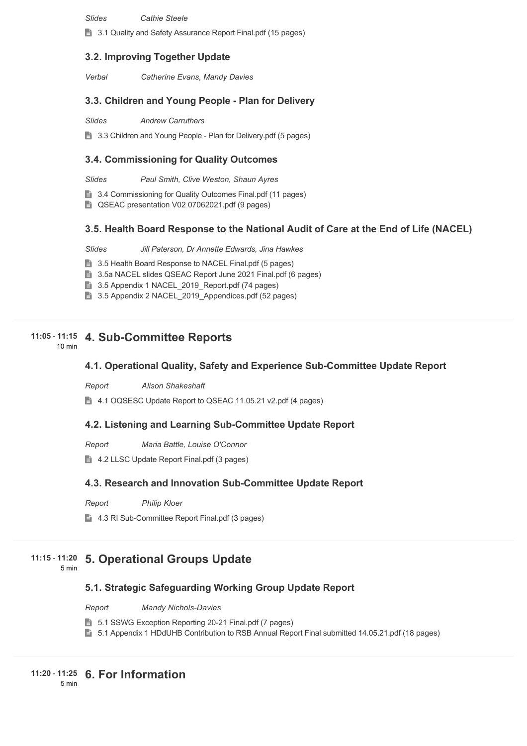*Slides Cathie Steele*

**3.1 Quality and Safety Assurance Report Final.pdf (15 pages)** 

#### **3.2. Improving Together Update**

*Verbal Catherine Evans, Mandy Davies*

#### **3.3. Children and Young People - Plan for Delivery**

*Slides Andrew Carruthers*

**3.3 Children and Young People - Plan for Delivery.pdf (5 pages)** 

#### **3.4. Commissioning for Quality Outcomes**

*Slides Paul Smith, Clive Weston, Shaun Ayres*

■ 3.4 Commissioning for Quality Outcomes Final.pdf (11 pages)

■ QSEAC presentation V02 07062021.pdf (9 pages)

#### **3.5. Health Board Response to the National Audit of Care at the End of Life (NACEL)**

*Slides Jill Paterson, Dr Annette Edwards, Jina Hawkes*

**3.5 Health Board Response to NACEL Final.pdf (5 pages)** 

■ 3.5a NACEL slides QSEAC Report June 2021 Final.pdf (6 pages)

■ 3.5 Appendix 1 NACEL\_2019\_Report.pdf (74 pages)

3.5 Appendix 2 NACEL 2019 Appendices.pdf (52 pages)

#### **4. Sub-Committee Reports 11:05** - **11:15**

10 min

#### **4.1. Operational Quality, Safety and Experience Sub-Committee Update Report**

*Report Alison Shakeshaft*

4.1 OQSESC Update Report to QSEAC 11.05.21 v2.pdf (4 pages)

#### **4.2. Listening and Learning Sub-Committee Update Report**

*Report Maria Battle, Louise O'Connor*

4.2 LLSC Update Report Final.pdf (3 pages)

#### **4.3. Research and Innovation Sub-Committee Update Report**

*Report Philip Kloer*

**■ 4.3 RI Sub-Committee Report Final.pdf (3 pages)** 

#### **5. Operational Groups Update 11:15** - **11:20**

#### 5 min

#### **5.1. Strategic Safeguarding Working Group Update Report**

*Report Mandy Nichols-Davies*

- **5.1 SSWG Exception Reporting 20-21 Final.pdf (7 pages)**
- **5.1 Appendix 1 HDdUHB Contribution to RSB Annual Report Final submitted 14.05.21.pdf (18 pages)**

**6. For Information 11:20** - **11:25**

5 min